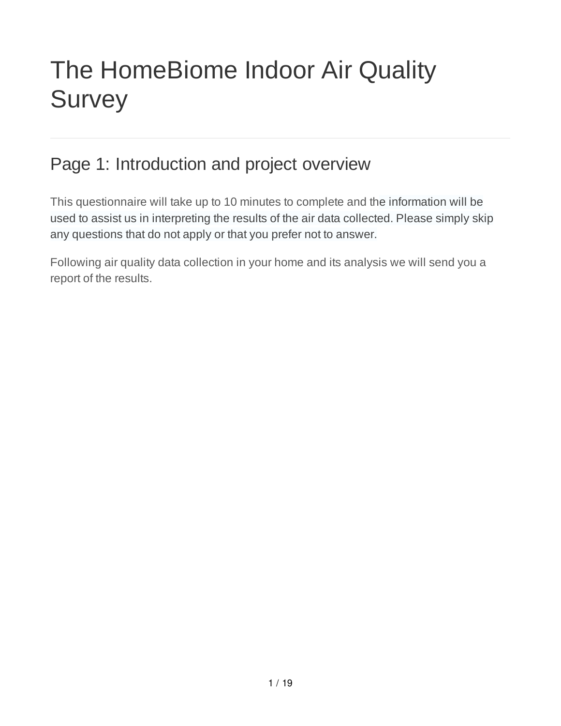# The HomeBiome Indoor Air Quality **Survey**

### Page 1: Introduction and project overview

This questionnaire will take up to 10 minutes to complete and the information will be used to assist us in interpreting the results of the air data collected. Please simply skip any questions that do not apply or that you prefer not to answer.

Following air quality data collection in your home and its analysis we will send you a report of the results.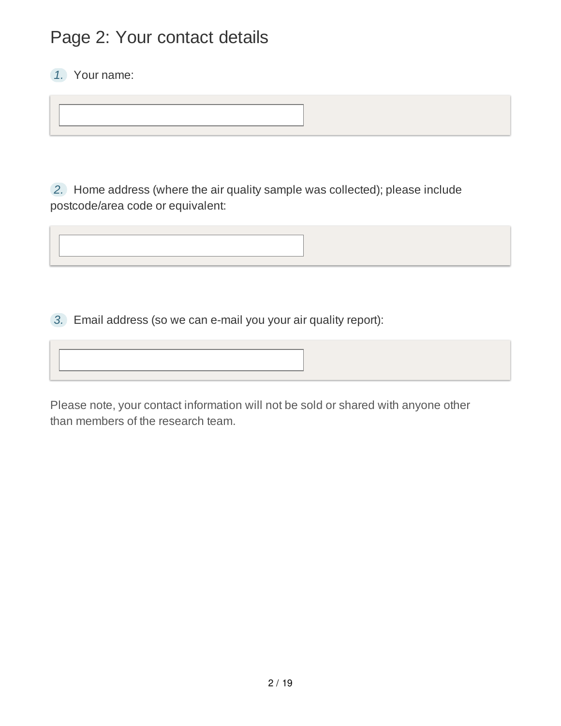### Page 2: Your contact details

*1.* Your name:

*2.* Home address (where the air quality sample was collected); please include postcode/area code or equivalent:

*3.* Email address (so we can e-mail you your air quality report):

Please note, your contact information will not be sold or shared with anyone other than members of the research team.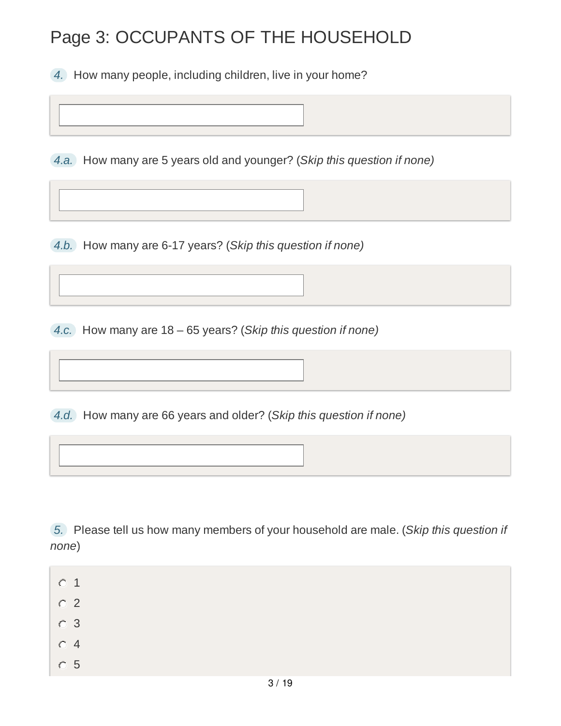### Page 3: OCCUPANTS OF THE HOUSEHOLD

*4.* How many people, including children, live in your home?

*4.a.* How many are 5 years old and younger? (*Skip this question if none)*

*4.b.* How many are 6-17 years? (*Skip this question if none)*

*4.c.* How many are 18 – 65 years? (*Skip this question if none)*

*4.d.* How many are 66 years and older? (*Skip this question if none)*

*5.* Please tell us how many members of your household are male. (*Skip this question if none*)

- 0 1
- $O<sub>2</sub>$
- 3
- $O<sub>4</sub>$
- 5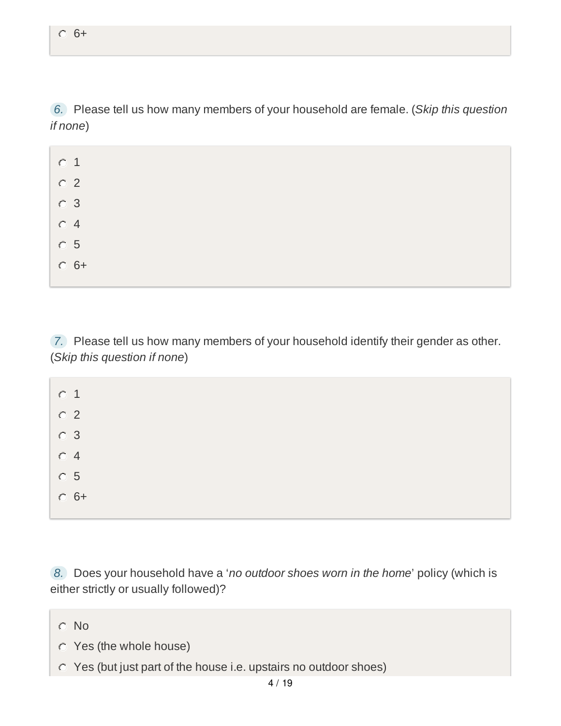*6.* Please tell us how many members of your household are female. (*Skip this question if none*)

| $\circ$ 1      |  |  |  |
|----------------|--|--|--|
| $\circ$ 2      |  |  |  |
| $\circ$ 3      |  |  |  |
| O <sub>4</sub> |  |  |  |
| $\circ$ 5      |  |  |  |
| $C_6 +$        |  |  |  |

*7.* Please tell us how many members of your household identify their gender as other. (*Skip this question if none*)

| $\circ$ 1      |  |  |  |
|----------------|--|--|--|
| $\circ$ 2      |  |  |  |
| $\circ$ 3      |  |  |  |
| O <sub>4</sub> |  |  |  |
| $\circ$ 5      |  |  |  |
| $C_6 +$        |  |  |  |
|                |  |  |  |

*8.* Does your household have a '*no outdoor shoes worn in the home*' policy (which is either strictly or usually followed)?

- C No
- Yes (the whole house)
- Yes (but just part of the house i.e. upstairs no outdoor shoes)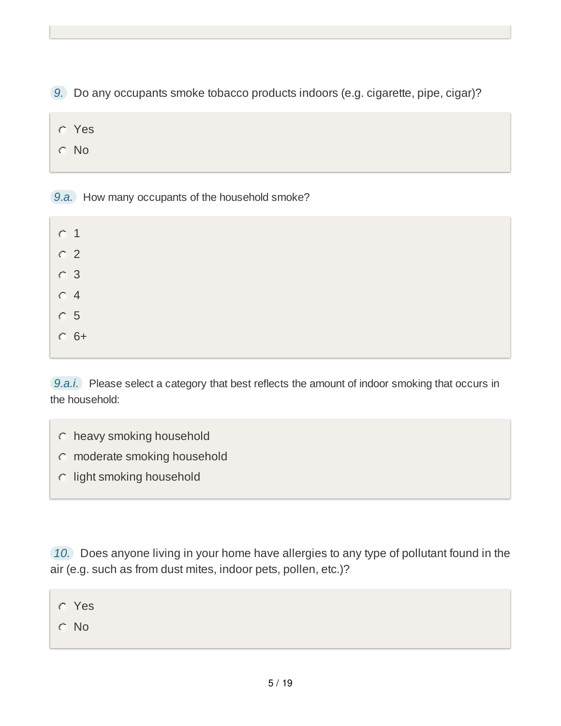*9.* Do any occupants smoke tobacco products indoors (e.g. cigarette, pipe, cigar)?

- Yes
- C No

*9.a.* How many occupants of the household smoke?

| $\circ$ 1      |  |  |  |
|----------------|--|--|--|
| $\circ$ 2      |  |  |  |
| $\circ$ 3      |  |  |  |
| O <sub>4</sub> |  |  |  |
| $\circ$ 5      |  |  |  |
| $C$ 6+         |  |  |  |
|                |  |  |  |

*9.a.i.* Please select a category that best reflects the amount of indoor smoking that occurs in the household:

- heavy smoking household
- moderate smoking household
- $\circ$  light smoking household

*10.* Does anyone living in your home have allergies to any type of pollutant found in the air (e.g. such as from dust mites, indoor pets, pollen, etc.)?

| <b>C</b> Yes |  |  |  |
|--------------|--|--|--|
| $\circ$ No   |  |  |  |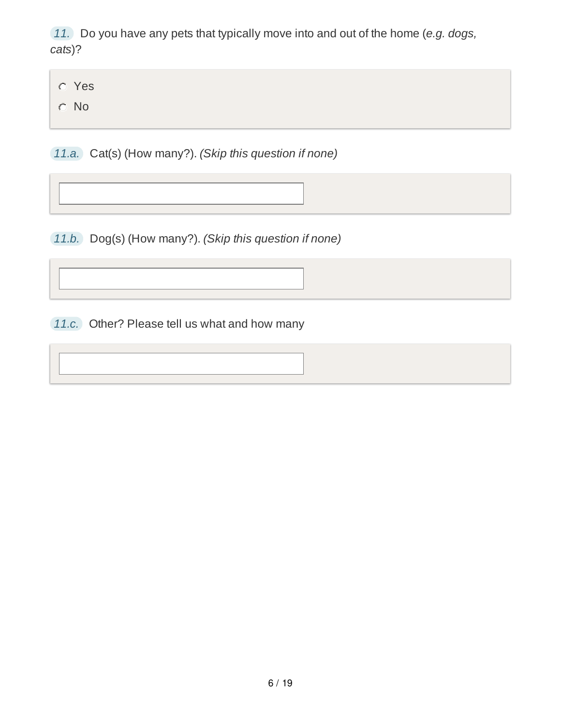*11.* Do you have any pets that typically move into and out of the home (*e.g. dogs, cats*)?

Yes

No

*11.a.* Cat(s) (How many?). *(Skip this question if none)*

*11.b.* Dog(s) (How many?). *(Skip this question if none)*

*11.c.* Other? Please tell us what and how many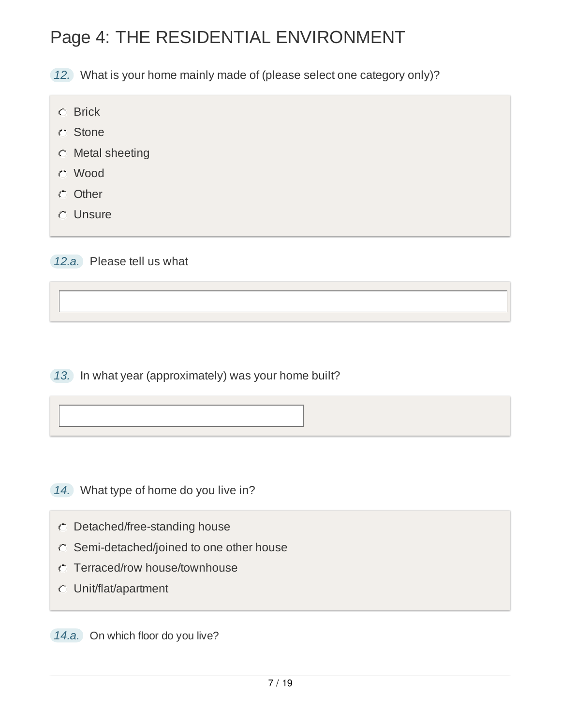# Page 4: THE RESIDENTIAL ENVIRONMENT

*12.* What is your home mainly made of (please select one category only)?

- **C** Brick
- **C** Stone
- Metal sheeting
- Wood
- **Other**
- Unsure
- *12.a.* Please tell us what

*13.* In what year (approximately) was your home built?

- *14.* What type of home do you live in?
	- Detached/free-standing house
	- Semi-detached/joined to one other house
	- Terraced/row house/townhouse
	- Unit/flat/apartment

*14.a.* On which floor do you live?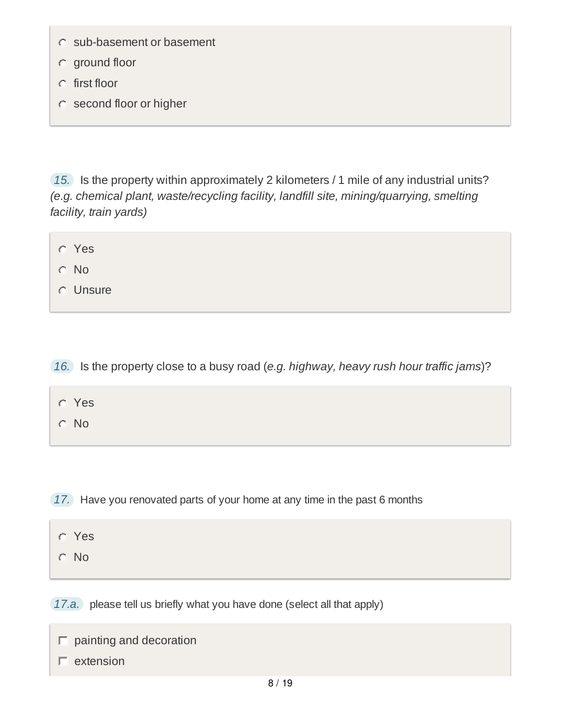- $\circ$  sub-basement or basement
- ground floor
- $C$  first floor
- second floor or higher

*15.* Is the property within approximately 2 kilometers / 1 mile of any industrial units? *(e.g. chemical plant, waste/recycling facility, landfill site, mining/quarrying, smelting facility, train yards)*

Yes

- No
- Unsure

*16.* Is the property close to a busy road (*e.g. highway, heavy rush hour traffic jams*)?

| Yes |
|-----|
|     |

No

*17.* Have you renovated parts of your home at any time in the past 6 months

- Yes
- No

*17.a.* please tell us briefly what you have done (select all that apply)

|  |  |  | $\Box$ painting and decoration |
|--|--|--|--------------------------------|
|--|--|--|--------------------------------|

 $\Gamma$  extension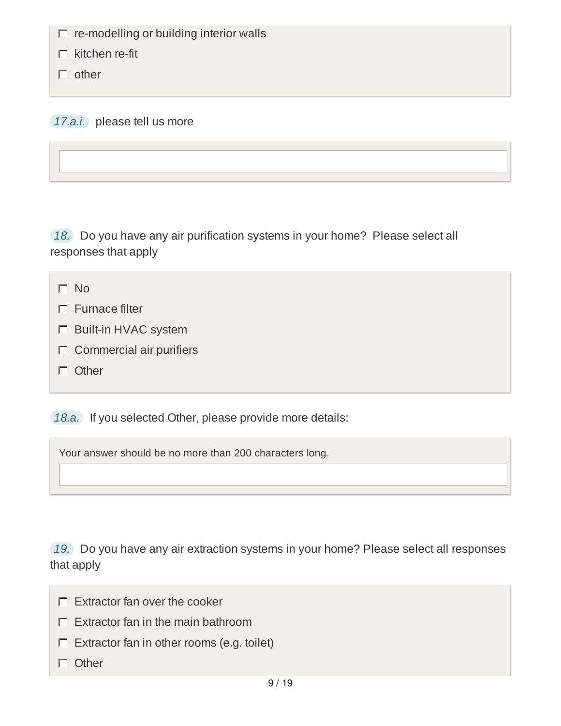$\Box$  re-modelling or building interior walls

 $\Gamma$  kitchen re-fit

 $\Box$  other

*17.a.i.* please tell us more

*18.* Do you have any air purification systems in your home? Please select all responses that apply

- $\Gamma$  Furnace filter
- Built-in HVAC system
- $\Gamma$  Commercial air purifiers
- Other

*18.a.* If you selected Other, please provide more details:

Your answer should be no more than 200 characters long.

*19.* Do you have any air extraction systems in your home? Please select all responses that apply

- $\Box$  Extractor fan over the cooker
- $\Gamma$  Extractor fan in the main bathroom
- $\Box$  Extractor fan in other rooms (e.g. toilet)
- $\Box$  Other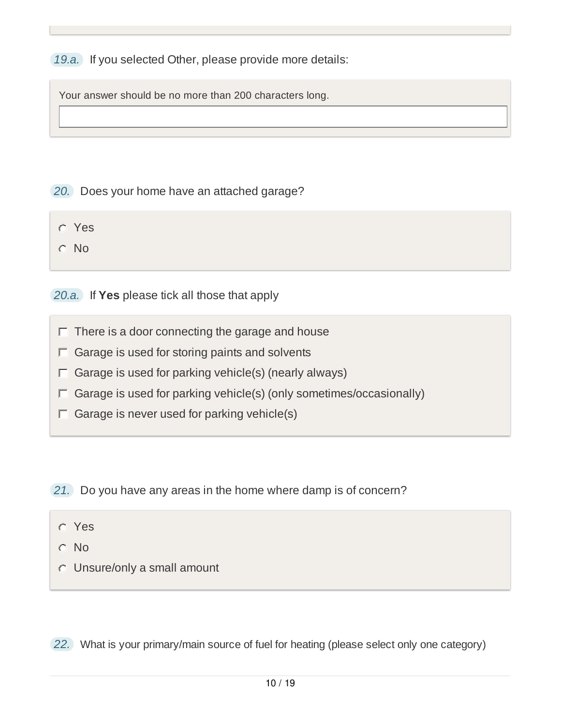*19.a.* If you selected Other, please provide more details:

Your answer should be no more than 200 characters long.

*20.* Does your home have an attached garage?

- Yes
- C No

*20.a.* If **Yes** please tick all those that apply

- $\Box$  There is a door connecting the garage and house
- $\Box$  Garage is used for storing paints and solvents
- $\Box$  Garage is used for parking vehicle(s) (nearly always)
- $\Gamma$  Garage is used for parking vehicle(s) (only sometimes/occasionally)
- $\Box$  Garage is never used for parking vehicle(s)
- *21.* Do you have any areas in the home where damp is of concern?
	- Yes
	- C No
	- Unsure/only a small amount

*22.* What is your primary/main source of fuel for heating (please select only one category)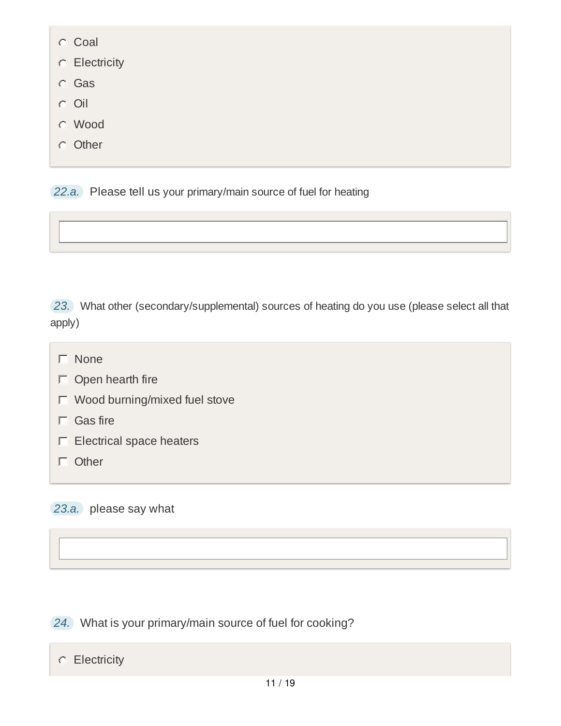- C Coal
- **C** Electricity
- Gas
- $O$ il
- Wood
- **Other**

*22.a.* Please tell us your primary/main source of fuel for heating



- $\Gamma$  None
- $\Box$  Open hearth fire
- Wood burning/mixed fuel stove
- $\Gamma$  Gas fire
- $\Box$  Electrical space heaters
- $\Box$  Other

#### *23.a.* please say what

*24.* What is your primary/main source of fuel for cooking?

#### **C** Electricity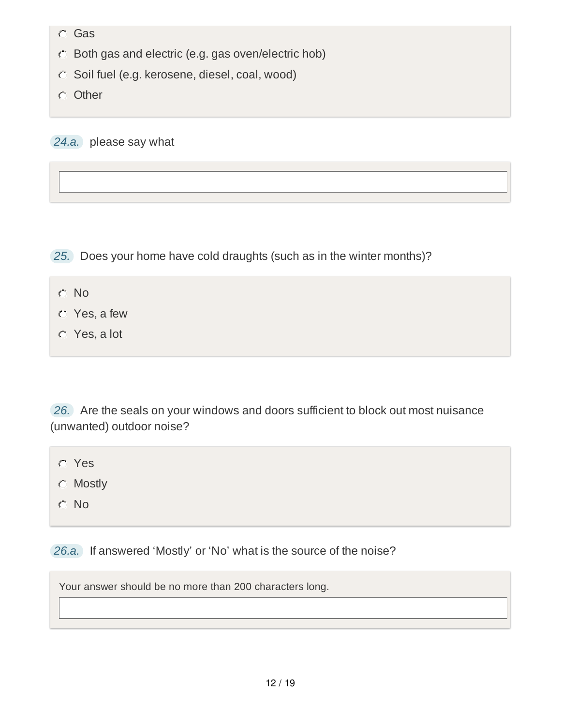- Gas
- Both gas and electric (e.g. gas oven/electric hob)
- $\circ$  Soil fuel (e.g. kerosene, diesel, coal, wood)
- **Other**

*24.a.* please say what

*25.* Does your home have cold draughts (such as in the winter months)?

- C No
- Yes, a few
- Yes, a lot

*26.* Are the seals on your windows and doors sufficient to block out most nuisance (unwanted) outdoor noise?

- Yes
- **C** Mostly
- No

*26.a.* If answered 'Mostly' or 'No' what is the source of the noise?

Your answer should be no more than 200 characters long.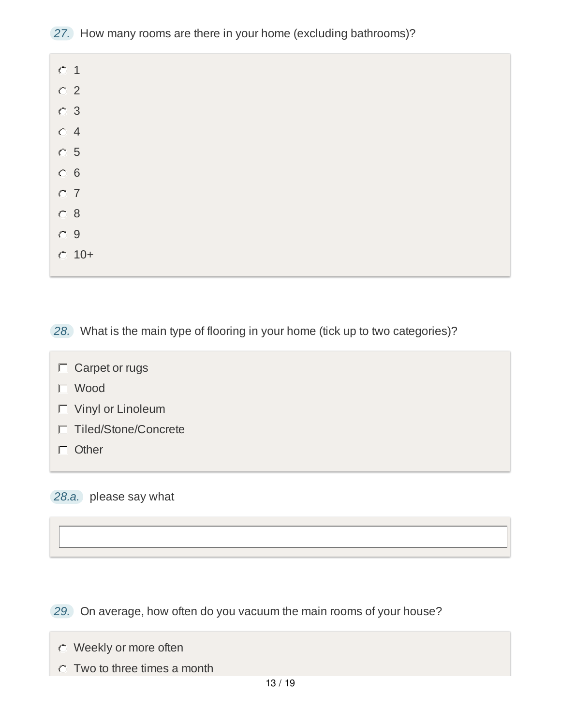*27.* How many rooms are there in your home (excluding bathrooms)?

| $\circ$ 1      |  |  |  |
|----------------|--|--|--|
| $\circ$ 2      |  |  |  |
| $\circ$ 3      |  |  |  |
| O <sub>4</sub> |  |  |  |
| $\circ$ 5      |  |  |  |
| $\circ$ 6      |  |  |  |
| O <sub>7</sub> |  |  |  |
| $\circ$ 8      |  |  |  |
| $\circ$ 9      |  |  |  |
| $C$ 10+        |  |  |  |
|                |  |  |  |

*28.* What is the main type of flooring in your home (tick up to two categories)?

- $\Box$  Carpet or rugs
- Wood
- Vinyl or Linoleum
- Tiled/Stone/Concrete
- $\Box$  Other

*28.a.* please say what

*29.* On average, how often do you vacuum the main rooms of your house?

- Weekly or more often
- Two to three times a month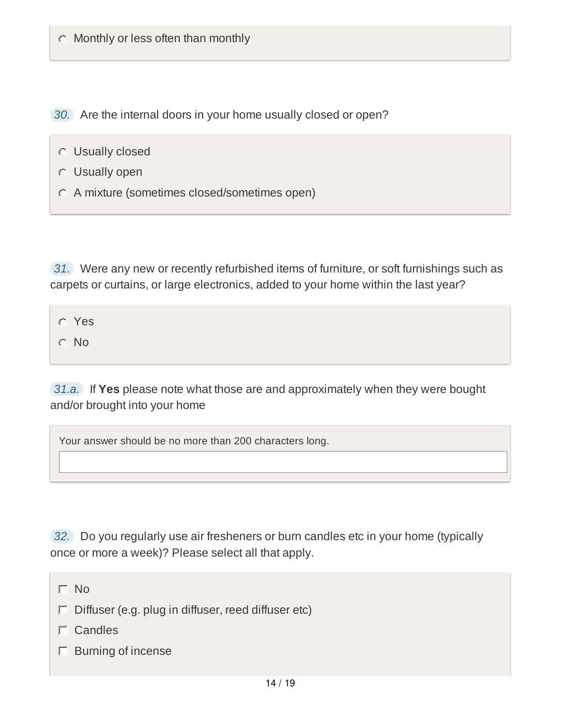*30.* Are the internal doors in your home usually closed or open?

- Usually closed
- Usually open
- A mixture (sometimes closed/sometimes open)

*31.* Were any new or recently refurbished items of furniture, or soft furnishings such as carpets or curtains, or large electronics, added to your home within the last year?

Yes

 $O$  No

*31.a.* If **Yes** please note what those are and approximately when they were bought and/or brought into your home

Your answer should be no more than 200 characters long.

*32.* Do you regularly use air fresheners or burn candles etc in your home (typically once or more a week)? Please select all that apply.

 $\Gamma$  No

- $\Box$  Diffuser (e.g. plug in diffuser, reed diffuser etc)
- $\Gamma$  Candles
- $\Box$  Burning of incense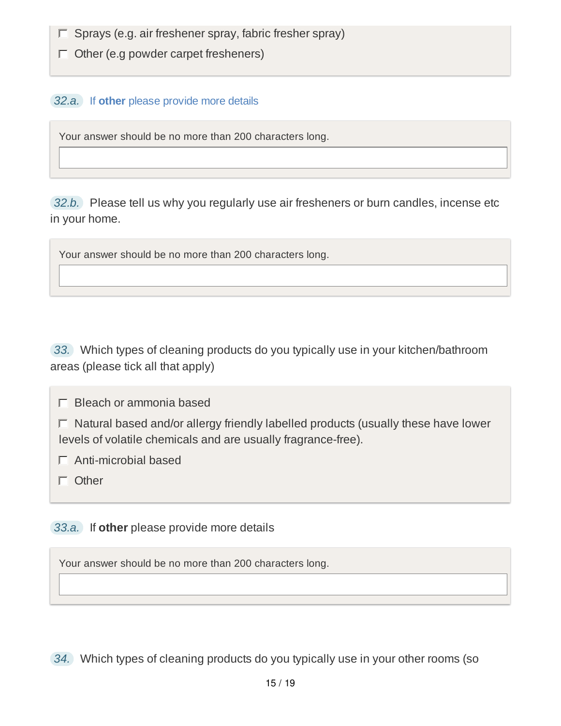$\Box$  Sprays (e.g. air freshener spray, fabric fresher spray)

 $\Box$  Other (e.g powder carpet fresheners)

#### *32.a.* If **other** please provide more details

Your answer should be no more than 200 characters long.

*32.b.* Please tell us why you regularly use air fresheners or burn candles, incense etc in your home.

Your answer should be no more than 200 characters long.

*33.* Which types of cleaning products do you typically use in your kitchen/bathroom areas (please tick all that apply)

 $\Box$  Bleach or ammonia based

 $\Box$  Natural based and/or allergy friendly labelled products (usually these have lower levels of volatile chemicals and are usually fragrance-free).

Anti-microbial based

Other

*33.a.* If **other** please provide more details

Your answer should be no more than 200 characters long.

*34.* Which types of cleaning products do you typically use in your other rooms (so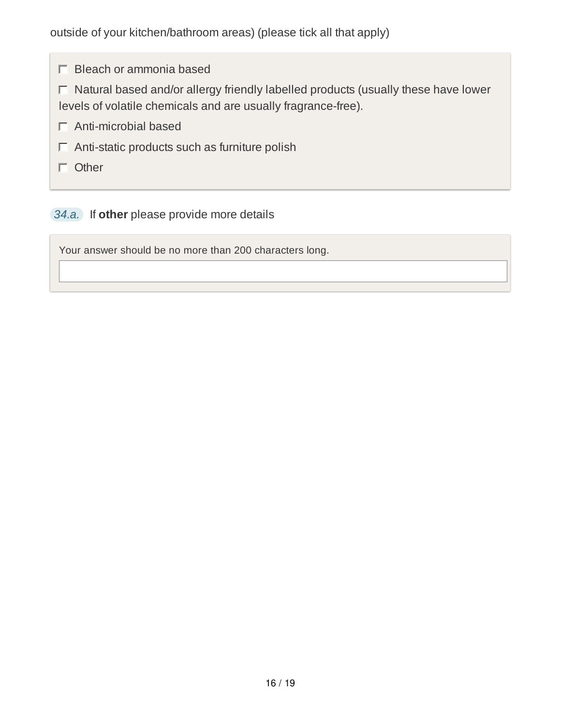$\Box$  Bleach or ammonia based

 $\Box$  Natural based and/or allergy friendly labelled products (usually these have lower levels of volatile chemicals and are usually fragrance-free).

- $\Box$  Anti-microbial based
- $\Box$  Anti-static products such as furniture polish
- Other

#### *34.a.* If **other** please provide more details

Your answer should be no more than 200 characters long.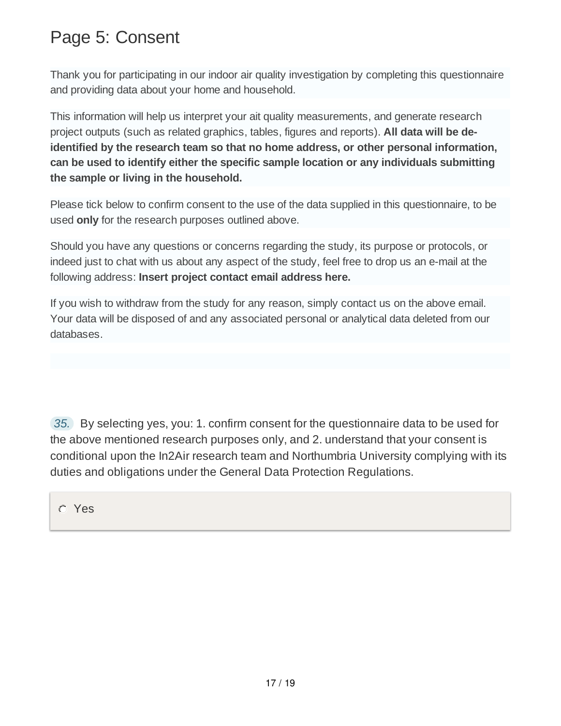### Page 5: Consent

Thank you for participating in our indoor air quality investigation by completing this questionnaire and providing data about your home and household.

This information will help us interpret your ait quality measurements, and generate research project outputs (such as related graphics, tables, figures and reports). **All data will be deidentified by the research team so that no home address, or other personal information, can be used to identify either the specific sample location or any individuals submitting the sample or living in the household.**

Please tick below to confirm consent to the use of the data supplied in this questionnaire, to be used **only** for the research purposes outlined above.

Should you have any questions or concerns regarding the study, its purpose or protocols, or indeed just to chat with us about any aspect of the study, feel free to drop us an e-mail at the following address: **Insert project contact email address here.**

If you wish to withdraw from the study for any reason, simply contact us on the above email. Your data will be disposed of and any associated personal or analytical data deleted from our databases.

*35.* By selecting yes, you: 1. confirm consent for the questionnaire data to be used for the above mentioned research purposes only, and 2. understand that your consent is conditional upon the In2Air research team and Northumbria University complying with its duties and obligations under the General Data Protection Regulations.

Yes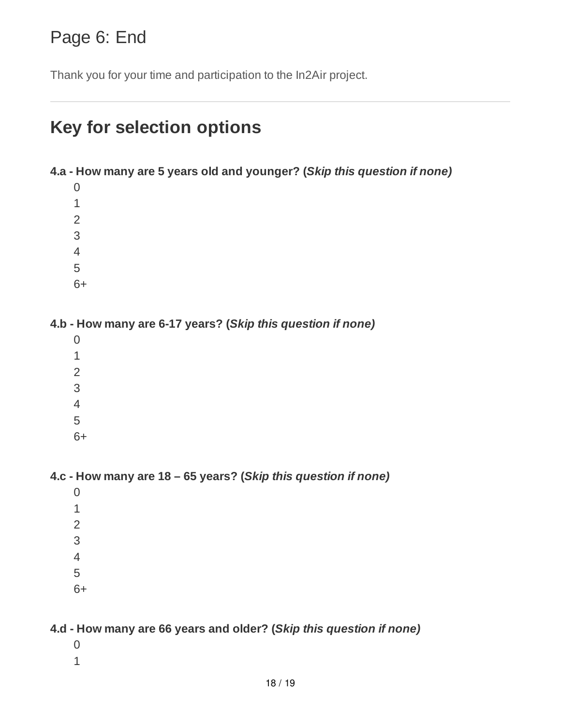### Page 6: End

Thank you for your time and participation to the In2Air project.

# **Key for selection options**

**4.a - How many are 5 years old and younger? (***Skip this question if none)*

- 
- 
- 
- 
- 6+

**4.b - How many are 6-17 years? (***Skip this question if none)*

- - 6+

**4.c - How many are 18 – 65 years? (***Skip this question if none)*

- 
- 6+

#### **4.d - How many are 66 years and older? (***Skip this question if none)*

- 
-